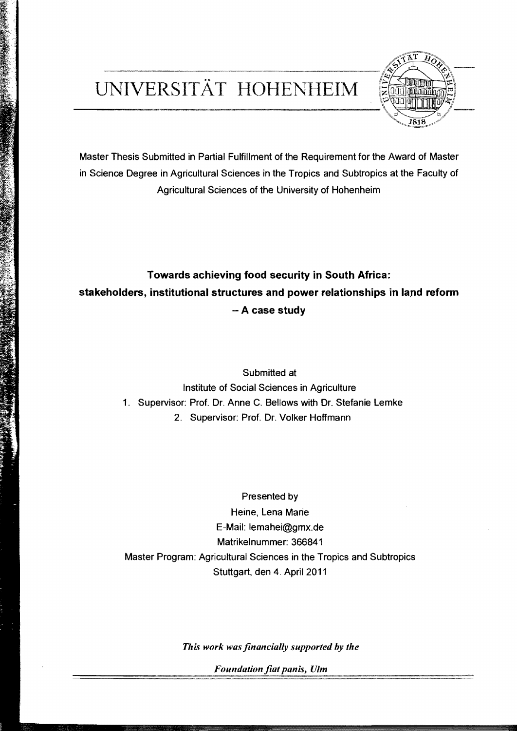## UNIVERSITÄT HOHENHEIM



Master Thesis Submitted in Partial Fulfillment of the Requirement for the Award of Master in Science Degree in Agricultural Sciences in the Tropics and Subtropics at the Faculty of Agrieultural Sciences of the University of Hohenheim

## **Towards achieving food security in South Africa: stakeholders, institutional structures and power relationships in land reform** - **A case study**

Submitted at Institute of Social Sciences in Agriculture 1. Supervisor: Prof. Dr. Anne C. Bellows with Dr. Stefanie Lemke 2. Supervisor: Prof. Dr. Volker Hoffmann

Presented by Heine, Lena Marie E-Mail: lemahei@gmx.de Matrikelnummer: 366841 Master Program: Agricultural Sciences in the Tropics and Subtropics Stuttgart, den 4. April 2011

*This work was financially supported by the* 

Foundation fiat panis, Ulm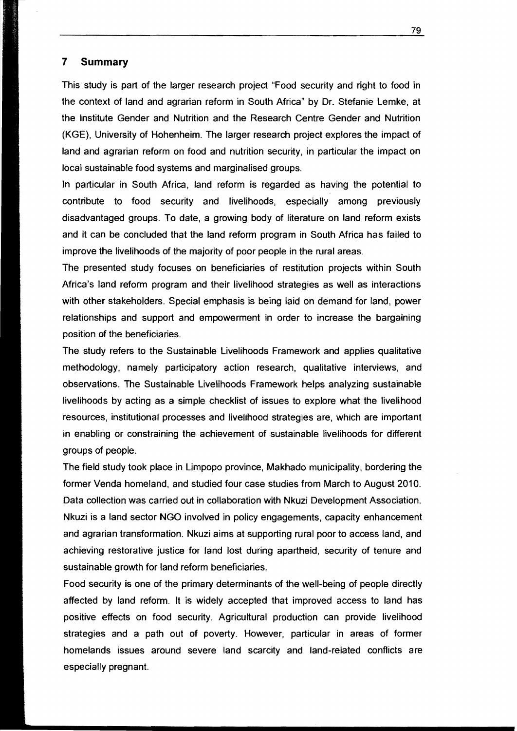## **7 Summary**

This study is part of the larger research project "Food security and right to food in the context of land and agrarian reform in South Africa" by Dr. Stefanie Lemke, at the Institute Gender and Nutrition and the Research Centre Gender and Nutrition (KGE), University of Hohenheim. The larger research project explores the impact of land and agrarian reform on food and nutrition security, in particular the impact on local sustainable food systems and marginalised groups.

In particular in South Africa, land reform is regarded as having the potential to contribute to food security and livelihoods, especially among previously disadvantaged groups. To date, a growing body of literature on land reform exists and it can be concluded that the land reform program in South Africa has failed to improve the livelihoods of the majority of poor people in the rural areas.

The presented study focuses on beneficiaries of restitution projects within South Africa's land reform program and their livelihood strategies as weil as interactions with other stakeholders. Special emphasis is being laid on demand for land, power relationships and support and empowerment in order to increase the bargaining position of the beneficiaries.

The study refers to the Sustainable Livelihoods Framework and applies qualitative methodology, namely participatory action research, qualitative interviews, and observations. The Sustainable Livelihoods Framework helps analyzing sustainable livelihoods by acting as a simple checklist of issues to explore what the livelihood resources, institutional processes and livelihood strategies are, which are important in enabling or constraining the achievement of sustainable livelihoods for different groups of people.

The field study took place in Limpopo province, Makhado municipality, bordering the former Venda homeland, and studied four case studies from March to August 2010. Data collection was carried out in collaboration with Nkuzi Development Association. Nkuzi is aland sector NGO involved in policy engagements, capacity enhancement and agrarian transformation. Nkuzi aims at supporting rural poor to access land, and achieving restorative justice for land lost during apartheid, security of tenure and sustainable growth for land reform beneficiaries.

Food security is one of the primary determinants of the well-being of people directly affected by land reform. It is widely accepted that improved access to land has positive effects on food security. Agricultural production can provide livelihood strategies and a path out of poverty. However, particular in areas of former homelands issues around severe land scarcity and land-related conflicts are especially pregnant.